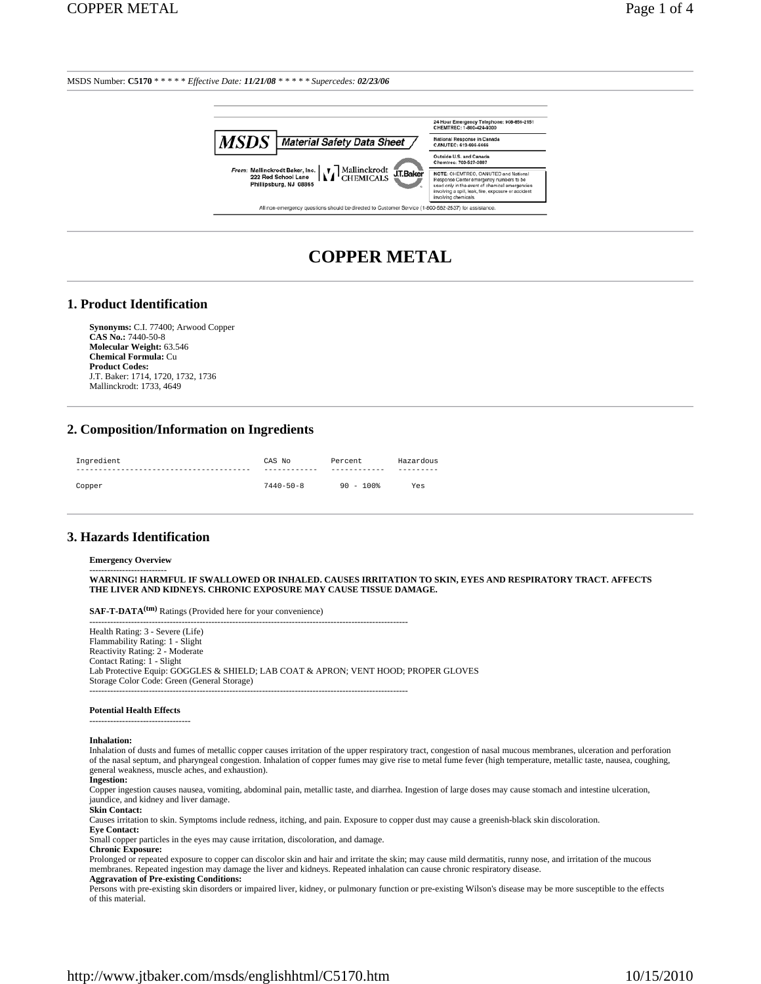

# **COPPER METAL**

#### **1. Product Identification**

**Synonyms:** C.I. 77400; Arwood Copper **CAS No.:** 7440-50-8 **Molecular Weight:** 63.546 **Chemical Formula:** Cu **Product Codes:** J.T. Baker: 1714, 1720, 1732, 1736 Mallinckrodt: 1733, 4649

## **2. Composition/Information on Ingredients**

| Ingredient | CAS No          | Percent      | Hazardous |
|------------|-----------------|--------------|-----------|
|            | ----------      | ------------ |           |
| Copper     | $7440 - 50 - 8$ | $90 - 100$ * | Yes       |

#### **3. Hazards Identification**

#### **Emergency Overview**

-------------------------<br>WARNING! HARMFUL IF SWALLOWED OR INHALED. CAUSES IRRITATION TO SKIN, EYES AND RESPIRATORY TRACT. AFFECTS **THE LIVER AND KIDNEYS. CHRONIC EXPOSURE MAY CAUSE TISSUE DAMAGE.**

**SAF-T-DATA(tm)** Ratings (Provided here for your convenience) -----------------------------------------------------------------------------------------------------------

Health Rating: 3 - Severe (Life) Flammability Rating: 1 - Slight Reactivity Rating: 2 - Moderate Contact Rating: 1 - Slight Lab Protective Equip: GOGGLES & SHIELD; LAB COAT & APRON; VENT HOOD; PROPER GLOVES Storage Color Code: Green (General Storage) -----------------------------------------------------------------------------------------------------------

#### **Potential Health Effects** ----------------------------------

#### **Inhalation:**

Inhalation of dusts and fumes of metallic copper causes irritation of the upper respiratory tract, congestion of nasal mucous membranes, ulceration and perforation of the nasal septum, and pharyngeal congestion. Inhalation of copper fumes may give rise to metal fume fever (high temperature, metallic taste, nausea, coughing, general weakness, muscle aches, and exhaustion).

#### **Ingestion:**

Copper ingestion causes nausea, vomiting, abdominal pain, metallic taste, and diarrhea. Ingestion of large doses may cause stomach and intestine ulceration, jaundice, and kidney and liver damage.

#### **Skin Contact:**

Causes irritation to skin. Symptoms include redness, itching, and pain. Exposure to copper dust may cause a greenish-black skin discoloration.

**Eye Contact:**

Small copper particles in the eyes may cause irritation, discoloration, and damage.

**Chronic Exposure:**

Prolonged or repeated exposure to copper can discolor skin and hair and irritate the skin; may cause mild dermatitis, runny nose, and irritation of the mucous membranes. Repeated ingestion may damage the liver and kidneys. Repeated inhalation can cause chronic respiratory disease. **Aggravation of Pre-existing Conditions:**

Persons with pre-existing skin disorders or impaired liver, kidney, or pulmonary function or pre-existing Wilson's disease may be more susceptible to the effects of this material.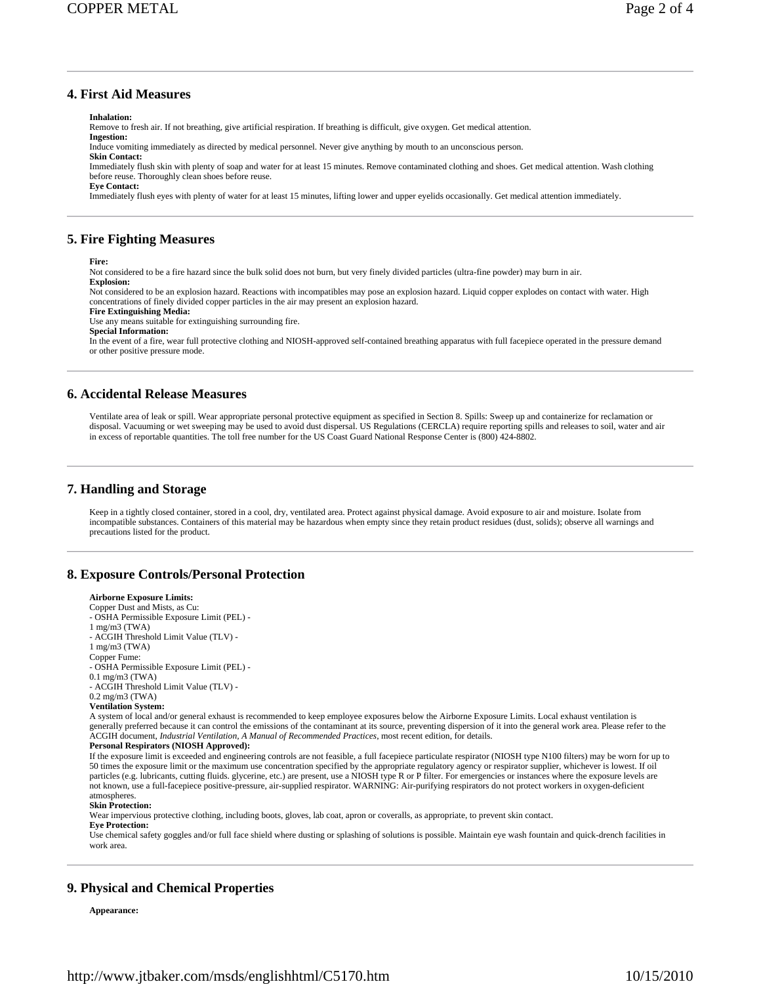# **4. First Aid Measures**

**Inhalation:**

Remove to fresh air. If not breathing, give artificial respiration. If breathing is difficult, give oxygen. Get medical attention. **Ingestion:**

Induce vomiting immediately as directed by medical personnel. Never give anything by mouth to an unconscious person.

**Skin Contact:** Immediately flush skin with plenty of soap and water for at least 15 minutes. Remove contaminated clothing and shoes. Get medical attention. Wash clothing before reuse. Thoroughly clean shoes before reuse.

**Eye Contact:**

Immediately flush eyes with plenty of water for at least 15 minutes, lifting lower and upper eyelids occasionally. Get medical attention immediately.

### **5. Fire Fighting Measures**

**Fire:**

Not considered to be a fire hazard since the bulk solid does not burn, but very finely divided particles (ultra-fine powder) may burn in air.

**Explosion:**

Not considered to be an explosion hazard. Reactions with incompatibles may pose an explosion hazard. Liquid copper explodes on contact with water. High concentrations of finely divided copper particles in the air may present an explosion hazard.

**Fire Extinguishing Media:**

Use any means suitable for extinguishing surrounding fire.

**Special Information:**

In the event of a fire, wear full protective clothing and NIOSH-approved self-contained breathing apparatus with full facepiece operated in the pressure demand or other positive pressure mode.

#### **6. Accidental Release Measures**

Ventilate area of leak or spill. Wear appropriate personal protective equipment as specified in Section 8. Spills: Sweep up and containerize for reclamation or disposal. Vacuuming or wet sweeping may be used to avoid dust dispersal. US Regulations (CERCLA) require reporting spills and releases to soil, water and air in excess of reportable quantities. The toll free number for the US Coast Guard National Response Center is (800) 424-8802.

### **7. Handling and Storage**

Keep in a tightly closed container, stored in a cool, dry, ventilated area. Protect against physical damage. Avoid exposure to air and moisture. Isolate from incompatible substances. Containers of this material may be hazardous when empty since they retain product residues (dust, solids); observe all warnings and precautions listed for the product.

### **8. Exposure Controls/Personal Protection**

#### **Airborne Exposure Limits:**

Copper Dust and Mists, as Cu: - OSHA Permissible Exposure Limit (PEL) - 1 mg/m3 (TWA) - ACGIH Threshold Limit Value (TLV) - 1 mg/m3 (TWA) Copper Fume: - OSHA Permissible Exposure Limit (PEL) - 0.1 mg/m3 (TWA) - ACGIH Threshold Limit Value (TLV) - 0.2 mg/m3 (TWA) **Ventilation System:** A system of local and/or general exhaust is recommended to keep employee exposures below the Airborne Exposure Limits. Local exhaust ventilation is generally preferred because it can control the emissions of the contaminant at its source, preventing dispersion of it into the general work area. Please refer to the ACGIH document, *Industrial Ventilation, A Manual of Recommended Practices*, most recent edition, for details. **Personal Respirators (NIOSH Approved):** If the exposure limit is exceeded and engineering controls are not feasible, a full facepiece particulate respirator (NIOSH type N100 filters) may be worn for up to 50 times the exposure limit or the maximum use concentration specified by the appropriate regulatory agency or respirator supplier, whichever is lowest. If oil particles (e.g. lubricants, cutting fluids. glycerine, etc.) are present, use a NIOSH type R or P filter. For emergencies or instances where the exposure levels are<br>not known, use a full-facepiece positive-pressure, air-su atmospheres. **Skin Protection:** Wear impervious protective clothing, including boots, gloves, lab coat, apron or coveralls, as appropriate, to prevent skin contact. **Eye Protection:**

Use chemical safety goggles and/or full face shield where dusting or splashing of solutions is possible. Maintain eye wash fountain and quick-drench facilities in work area.

### **9. Physical and Chemical Properties**

**Appearance:**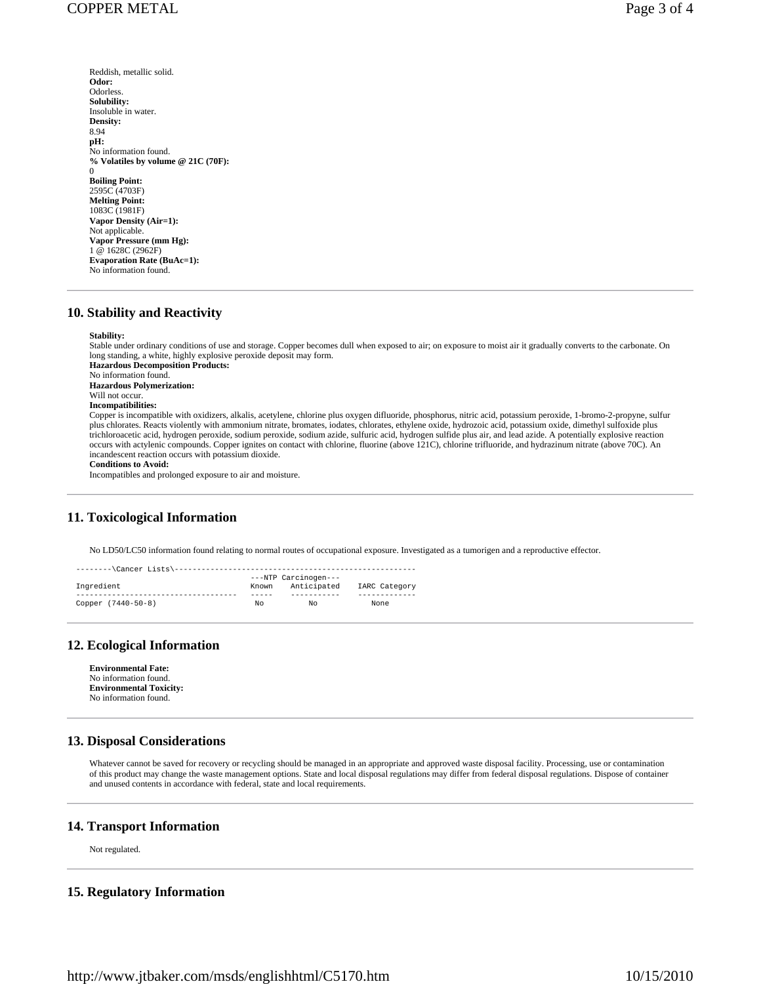**Odor: Odorless Solubility:** Insoluble in water. **Density:** 8.94 **pH:**

- Reddish, metallic solid. No information found.
- **% Volatiles by volume @ 21C (70F):**  $\theta$ **Boiling Point:** 2595C (4703F) **Melting Point:** 1083C (1981F) **Vapor Density (Air=1):** Not applicable. **Vapor Pressure (mm Hg):** 1 @ 1628C (2962F) **Evaporation Rate (BuAc=1):** No information found.

# **10. Stability and Reactivity**

#### **Stability:**

Stable under ordinary conditions of use and storage. Copper becomes dull when exposed to air; on exposure to moist air it gradually converts to the carbonate. On long standing, a white, highly explosive peroxide deposit may form. **Hazardous Decomposition Products:** No information found. **Hazardous Polymerization:** Will not occur. **Incompatibilities:** Copper is incompatible with oxidizers, alkalis, acetylene, chlorine plus oxygen difluoride, phosphorus, nitric acid, potassium peroxide, 1-bromo-2-propyne, sulfur plus chlorates. Reacts violently with ammonium nitrate, bromates, iodates, chlorates, ethylene oxide, hydrozoic acid, potassium oxide, dimethyl sulfoxide plus trichloroacetic acid, hydrogen peroxide, sodium peroxide, sodium azide, sulfuric acid, hydrogen sulfide plus air, and lead azide. A potentially explosive reaction occurs with actylenic compounds. Copper ignites on contact with chlorine, fluorine (above 121C), chlorine trifluoride, and hydrazinum nitrate (above 70C). An incandescent reaction occurs with potassium dioxide.

**Conditions to Avoid:**

Incompatibles and prolonged exposure to air and moisture.

### **11. Toxicological Information**

No LD50/LC50 information found relating to normal routes of occupational exposure. Investigated as a tumorigen and a reproductive effector.

| --------\Cancer Lists\--------<br>------------ |       |                      |               |  |  |  |  |
|------------------------------------------------|-------|----------------------|---------------|--|--|--|--|
|                                                |       | ---NTP Carcinogen--- |               |  |  |  |  |
| Ingredient                                     | Known | Anticipated          | IARC Category |  |  |  |  |
|                                                |       |                      |               |  |  |  |  |
| Copper (7440-50-8)                             | NΩ    | NΩ                   | None          |  |  |  |  |

### **12. Ecological Information**

**Environmental Fate:** No information found. **Environmental Toxicity:** No information found.

### **13. Disposal Considerations**

Whatever cannot be saved for recovery or recycling should be managed in an appropriate and approved waste disposal facility. Processing, use or contamination of this product may change the waste management options. State and local disposal regulations may differ from federal disposal regulations. Dispose of container and unused contents in accordance with federal, state and local requirements.

## **14. Transport Information**

Not regulated.

#### **15. Regulatory Information**